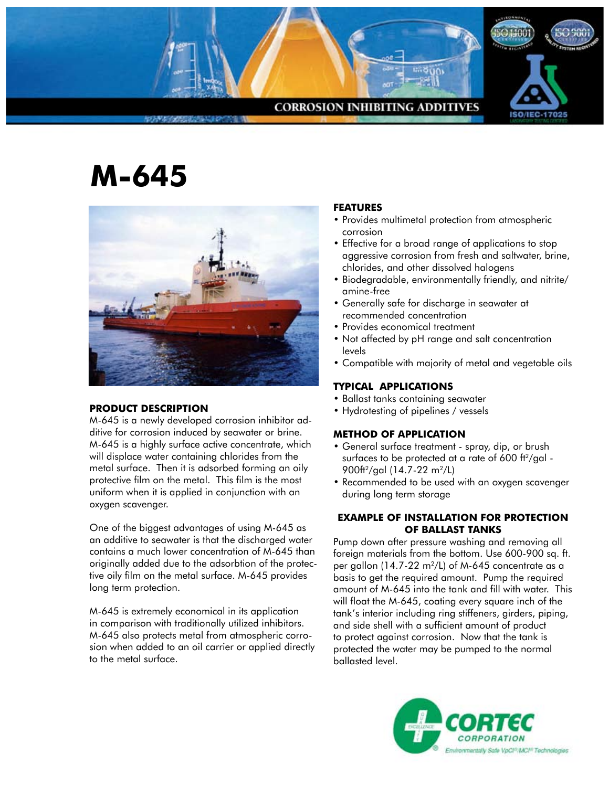

# **M-645**



## **Product Description**

M-645 is a newly developed corrosion inhibitor additive for corrosion induced by seawater or brine. M-645 is a highly surface active concentrate, which will displace water containing chlorides from the metal surface. Then it is adsorbed forming an oily protective film on the metal. This film is the most uniform when it is applied in conjunction with an oxygen scavenger.

One of the biggest advantages of using M-645 as an additive to seawater is that the discharged water contains a much lower concentration of M-645 than originally added due to the adsorbtion of the protective oily film on the metal surface. M-645 provides long term protection.

M-645 is extremely economical in its application in comparison with traditionally utilized inhibitors. M-645 also protects metal from atmospheric corrosion when added to an oil carrier or applied directly to the metal surface.

## **FEATURES**

- Provides multimetal protection from atmospheric corrosion
- Effective for a broad range of applications to stop aggressive corrosion from fresh and saltwater, brine, chlorides, and other dissolved halogens
- • Biodegradable, environmentally friendly, and nitrite/ amine-free
- • Generally safe for discharge in seawater at recommended concentration
- • Provides economical treatment
- Not affected by pH range and salt concentration levels
- • Compatible with majority of metal and vegetable oils

# **TYPICAL APPLICATIONS**

- • Ballast tanks containing seawater
- Hydrotesting of pipelines / vessels

# **METHOD OF APPLICATION**

- General surface treatment spray, dip, or brush surfaces to be protected at a rate of  $600$  ft<sup>2</sup>/gal -900ft<sup>2</sup>/gal (14.7-22 m<sup>2</sup>/L)
- Recommended to be used with an oxygen scavenger during long term storage

## **EXAMPLE OF INSTALLATION FOR PROTECTION OF BALLAST TANKS**

Pump down after pressure washing and removing all foreign materials from the bottom. Use 600-900 sq. ft. per gallon  $(14.7-22 \text{ m}^2/\text{L})$  of M-645 concentrate as a basis to get the required amount. Pump the required amount of M-645 into the tank and fill with water. This will float the M-645, coating every square inch of the tank's interior including ring stiffeners, girders, piping, and side shell with a sufficient amount of product to protect against corrosion. Now that the tank is protected the water may be pumped to the normal ballasted level.